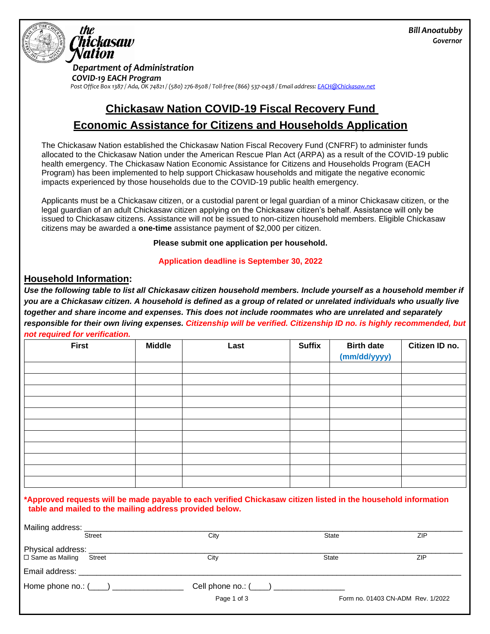

 *Department of Administration*

 *COVID-19 EACH Program Post Office Box 1387 / Ada, OK 74821 / (580) 276-8508 / Toll-free (866) 537-0438 / Email address: EACH@Chickasaw.net*

# **Chickasaw Nation COVID-19 Fiscal Recovery Fund Economic Assistance for Citizens and Households Application**

The Chickasaw Nation established the Chickasaw Nation Fiscal Recovery Fund (CNFRF) to administer funds allocated to the Chickasaw Nation under the American Rescue Plan Act (ARPA) as a result of the COVID-19 public health emergency. The Chickasaw Nation Economic Assistance for Citizens and Households Program (EACH Program) has been implemented to help support Chickasaw households and mitigate the negative economic impacts experienced by those households due to the COVID-19 public health emergency.

Applicants must be a Chickasaw citizen, or a custodial parent or legal guardian of a minor Chickasaw citizen, or the legal guardian of an adult Chickasaw citizen applying on the Chickasaw citizen's behalf. Assistance will only be issued to Chickasaw citizens. Assistance will not be issued to non-citizen household members. Eligible Chickasaw citizens may be awarded a **one-time** assistance payment of \$2,000 per citizen.

**Please submit one application per household.**

**Application deadline is September 30, 2022**

## **Household Information:**

Use the following table to list all Chickasaw citizen household members. Include yourself as a household member if *you are a Chickasaw citizen. A household is defined as a group of related or unrelated individuals who usually live together and share income and expenses. This does not include roommates who are unrelated and separately responsible for their own living expenses. Citizenship will be verified. Citizenship ID no. is highly recommended, but* 

|  | not required for verification. |
|--|--------------------------------|

| . .<br><b>First</b> | <b>Middle</b> | Last | <b>Suffix</b> | <b>Birth date</b><br>(mm/dd/yyyy) | Citizen ID no. |
|---------------------|---------------|------|---------------|-----------------------------------|----------------|
|                     |               |      |               |                                   |                |
|                     |               |      |               |                                   |                |
|                     |               |      |               |                                   |                |
|                     |               |      |               |                                   |                |
|                     |               |      |               |                                   |                |
|                     |               |      |               |                                   |                |
|                     |               |      |               |                                   |                |
|                     |               |      |               |                                   |                |
|                     |               |      |               |                                   |                |
|                     |               |      |               |                                   |                |
|                     |               |      |               |                                   |                |

### **\*Approved requests will be made payable to each verified Chickasaw citizen listed in the household information table and mailed to the mailing address provided below.**

| Mailing address: _____        |                            |                                          |              |                                   |  |  |
|-------------------------------|----------------------------|------------------------------------------|--------------|-----------------------------------|--|--|
|                               | <b>Street</b>              | City                                     | <b>State</b> | ZIP                               |  |  |
| Physical address: ___         |                            |                                          |              |                                   |  |  |
| $\Box$ Same as Mailing Street |                            | City                                     | <b>State</b> | <b>ZIP</b>                        |  |  |
| Email address:                |                            |                                          |              |                                   |  |  |
|                               | Home phone no.: $(\_\_\_)$ | Cell phone no.: (____) _________________ |              |                                   |  |  |
|                               |                            | Page 1 of 3                              |              | Form no. 01403 CN-ADM Rev. 1/2022 |  |  |
|                               |                            |                                          |              |                                   |  |  |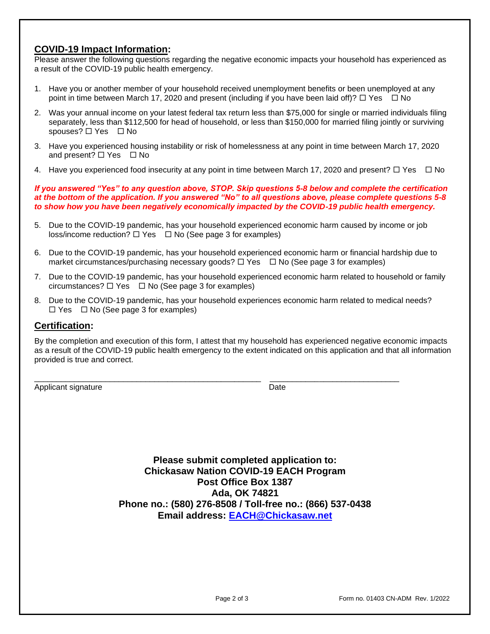## **COVID-19 Impact Information:**

Please answer the following questions regarding the negative economic impacts your household has experienced as a result of the COVID-19 public health emergency.

- 1. Have you or another member of your household received unemployment benefits or been unemployed at any point in time between March 17, 2020 and present (including if you have been laid off)?  $\Box$  Yes  $\Box$  No
- 2. Was your annual income on your latest federal tax return less than \$75,000 for single or married individuals filing separately, less than \$112,500 for head of household, or less than \$150,000 for married filing jointly or surviving spouses?  $\Box$  Yes  $\Box$  No
- 3. Have you experienced housing instability or risk of homelessness at any point in time between March 17, 2020 and present?  $\Box$  Yes  $\Box$  No
- 4. Have you experienced food insecurity at any point in time between March 17, 2020 and present?  $\Box$  Yes  $\Box$  No

*If you answered "Yes" to any question above, STOP. Skip questions 5-8 below and complete the certification at the bottom of the application. If you answered "No" to all questions above, please complete questions 5-8 to show how you have been negatively economically impacted by the COVID-19 public health emergency.*

- 5. Due to the COVID-19 pandemic, has your household experienced economic harm caused by income or job  $loss/income reduction? \Box Yes \Box No (See page 3 for examples)$
- 6. Due to the COVID-19 pandemic, has your household experienced economic harm or financial hardship due to market circumstances/purchasing necessary goods?  $\Box$  Yes  $\Box$  No (See page 3 for examples)
- 7. Due to the COVID-19 pandemic, has your household experienced economic harm related to household or family circumstances?  $\Box$  Yes  $\Box$  No (See page 3 for examples)
- 8. Due to the COVID-19 pandemic, has your household experiences economic harm related to medical needs?  $\Box$  Yes  $\Box$  No (See page 3 for examples)

\_\_\_\_\_\_\_\_\_\_\_\_\_\_\_\_\_\_\_\_\_\_\_\_\_\_\_\_\_\_\_\_\_\_\_\_\_\_\_\_\_\_\_\_\_\_\_\_\_\_\_ \_\_\_\_\_\_\_\_\_\_\_\_\_\_\_\_\_\_\_\_\_\_\_\_\_\_\_\_\_

### **Certification:**

By the completion and execution of this form, I attest that my household has experienced negative economic impacts as a result of the COVID-19 public health emergency to the extent indicated on this application and that all information provided is true and correct.

Applicant signature Date

**Please submit completed application to: Chickasaw Nation COVID-19 EACH Program Post Office Box 1387 Ada, OK 74821 Phone no.: (580) 276-8508 / Toll-free no.: (866) 537-0438 Email address: EACH@Chickasaw.net**